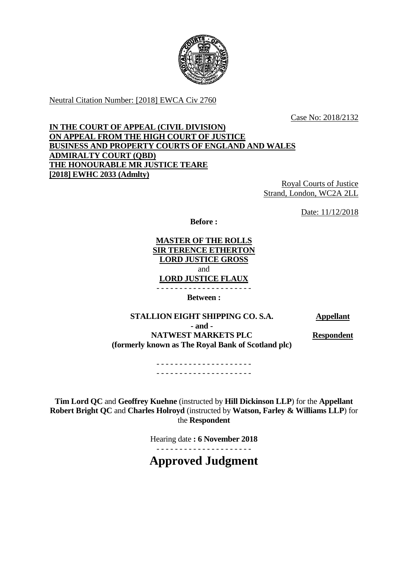

Neutral Citation Number: [2018] EWCA Civ 2760

Case No: 2018/2132

# **IN THE COURT OF APPEAL (CIVIL DIVISION) ON APPEAL FROM THE HIGH COURT OF JUSTICE BUSINESS AND PROPERTY COURTS OF ENGLAND AND WALES ADMIRALTY COURT (QBD) THE HONOURABLE MR JUSTICE TEARE [2018] EWHC 2033 (Admlty)**

Royal Courts of Justice Strand, London, WC2A 2LL

Date: 11/12/2018

**Before :**

**MASTER OF THE ROLLS SIR TERENCE ETHERTON LORD JUSTICE GROSS** and **LORD JUSTICE FLAUX**

- - - - - - - - - - - - - - - - - - - - - **Between :**

**STALLION EIGHT SHIPPING CO. S.A. Appellant - and - NATWEST MARKETS PLC (formerly known as The Royal Bank of Scotland plc)**

**Respondent**

- - - - - - - - - - - - - - - - - - - - - - - - - - - - - - - - - - - - - - - - - -

**Tim Lord QC** and **Geoffrey Kuehne** (instructed by **Hill Dickinson LLP**) for the **Appellant Robert Bright QC** and **Charles Holroyd** (instructed by **Watson, Farley & Williams LLP**) for the **Respondent**

Hearing date **: 6 November 2018**

- - - - - - - - - - - - - - - - - - - - -

**Approved Judgment**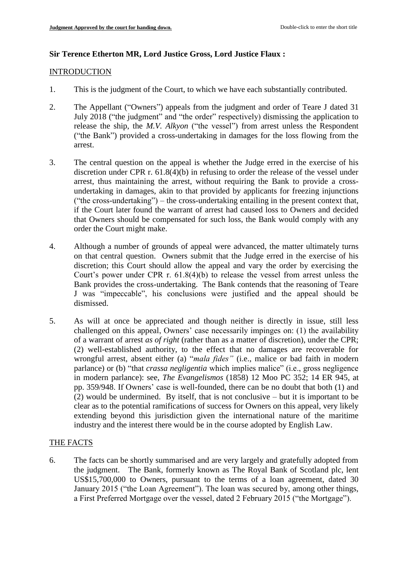## **Sir Terence Etherton MR, Lord Justice Gross, Lord Justice Flaux :**

### **INTRODUCTION**

- 1. This is the judgment of the Court, to which we have each substantially contributed.
- 2. The Appellant ("Owners") appeals from the judgment and order of Teare J dated 31 July 2018 ("the judgment" and "the order" respectively) dismissing the application to release the ship, the *M.V. Alkyon* ("the vessel") from arrest unless the Respondent ("the Bank") provided a cross-undertaking in damages for the loss flowing from the arrest.
- 3. The central question on the appeal is whether the Judge erred in the exercise of his discretion under CPR r. 61.8(4)(b) in refusing to order the release of the vessel under arrest, thus maintaining the arrest, without requiring the Bank to provide a crossundertaking in damages, akin to that provided by applicants for freezing injunctions ("the cross-undertaking") – the cross-undertaking entailing in the present context that, if the Court later found the warrant of arrest had caused loss to Owners and decided that Owners should be compensated for such loss, the Bank would comply with any order the Court might make.
- 4. Although a number of grounds of appeal were advanced, the matter ultimately turns on that central question. Owners submit that the Judge erred in the exercise of his discretion; this Court should allow the appeal and vary the order by exercising the Court's power under CPR r. 61.8(4)(b) to release the vessel from arrest unless the Bank provides the cross-undertaking. The Bank contends that the reasoning of Teare J was "impeccable", his conclusions were justified and the appeal should be dismissed.
- 5. As will at once be appreciated and though neither is directly in issue, still less challenged on this appeal, Owners' case necessarily impinges on: (1) the availability of a warrant of arrest *as of right* (rather than as a matter of discretion), under the CPR; (2) well-established authority, to the effect that no damages are recoverable for wrongful arrest, absent either (a) "*mala fides"* (i.e., malice or bad faith in modern parlance) or (b) "that *crassa negligentia* which implies malice" (i.e., gross negligence in modern parlance): see, *The Evangelismos* (1858) 12 Moo PC 352; 14 ER 945, at pp. 359/948. If Owners' case is well-founded, there can be no doubt that both (1) and (2) would be undermined. By itself, that is not conclusive – but it is important to be clear as to the potential ramifications of success for Owners on this appeal, very likely extending beyond this jurisdiction given the international nature of the maritime industry and the interest there would be in the course adopted by English Law.

### THE FACTS

6. The facts can be shortly summarised and are very largely and gratefully adopted from the judgment. The Bank, formerly known as The Royal Bank of Scotland plc, lent US\$15,700,000 to Owners, pursuant to the terms of a loan agreement, dated 30 January 2015 ("the Loan Agreement"). The loan was secured by, among other things, a First Preferred Mortgage over the vessel, dated 2 February 2015 ("the Mortgage").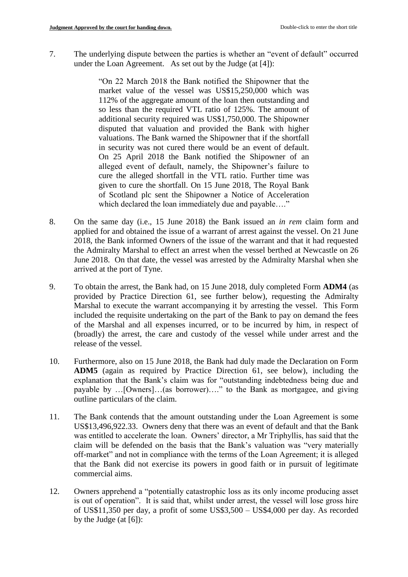7. The underlying dispute between the parties is whether an "event of default" occurred under the Loan Agreement. As set out by the Judge (at [4]):

> "On 22 March 2018 the Bank notified the Shipowner that the market value of the vessel was US\$15,250,000 which was 112% of the aggregate amount of the loan then outstanding and so less than the required VTL ratio of 125%. The amount of additional security required was US\$1,750,000. The Shipowner disputed that valuation and provided the Bank with higher valuations. The Bank warned the Shipowner that if the shortfall in security was not cured there would be an event of default. On 25 April 2018 the Bank notified the Shipowner of an alleged event of default, namely, the Shipowner's failure to cure the alleged shortfall in the VTL ratio. Further time was given to cure the shortfall. On 15 June 2018, The Royal Bank of Scotland plc sent the Shipowner a Notice of Acceleration which declared the loan immediately due and payable…."

- 8. On the same day (i.e., 15 June 2018) the Bank issued an *in rem* claim form and applied for and obtained the issue of a warrant of arrest against the vessel. On 21 June 2018, the Bank informed Owners of the issue of the warrant and that it had requested the Admiralty Marshal to effect an arrest when the vessel berthed at Newcastle on 26 June 2018. On that date, the vessel was arrested by the Admiralty Marshal when she arrived at the port of Tyne.
- 9. To obtain the arrest, the Bank had, on 15 June 2018, duly completed Form **ADM4** (as provided by Practice Direction 61, see further below), requesting the Admiralty Marshal to execute the warrant accompanying it by arresting the vessel. This Form included the requisite undertaking on the part of the Bank to pay on demand the fees of the Marshal and all expenses incurred, or to be incurred by him, in respect of (broadly) the arrest, the care and custody of the vessel while under arrest and the release of the vessel.
- 10. Furthermore, also on 15 June 2018, the Bank had duly made the Declaration on Form **ADM5** (again as required by Practice Direction 61, see below), including the explanation that the Bank's claim was for "outstanding indebtedness being due and payable by …[Owners]…(as borrower)…." to the Bank as mortgagee, and giving outline particulars of the claim.
- 11. The Bank contends that the amount outstanding under the Loan Agreement is some US\$13,496,922.33. Owners deny that there was an event of default and that the Bank was entitled to accelerate the loan. Owners' director, a Mr Triphyllis, has said that the claim will be defended on the basis that the Bank's valuation was "very materially off-market" and not in compliance with the terms of the Loan Agreement; it is alleged that the Bank did not exercise its powers in good faith or in pursuit of legitimate commercial aims.
- 12. Owners apprehend a "potentially catastrophic loss as its only income producing asset is out of operation". It is said that, whilst under arrest, the vessel will lose gross hire of US\$11,350 per day, a profit of some US\$3,500 – US\$4,000 per day. As recorded by the Judge (at [6]):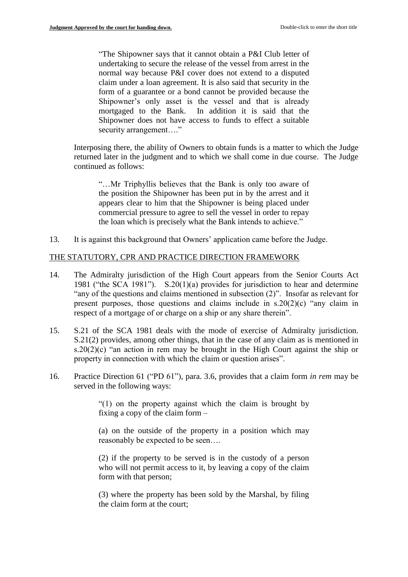"The Shipowner says that it cannot obtain a P&I Club letter of undertaking to secure the release of the vessel from arrest in the normal way because P&I cover does not extend to a disputed claim under a loan agreement. It is also said that security in the form of a guarantee or a bond cannot be provided because the Shipowner's only asset is the vessel and that is already mortgaged to the Bank. In addition it is said that the Shipowner does not have access to funds to effect a suitable security arrangement...."

Interposing there, the ability of Owners to obtain funds is a matter to which the Judge returned later in the judgment and to which we shall come in due course. The Judge continued as follows:

"…Mr Triphyllis believes that the Bank is only too aware of the position the Shipowner has been put in by the arrest and it appears clear to him that the Shipowner is being placed under commercial pressure to agree to sell the vessel in order to repay the loan which is precisely what the Bank intends to achieve."

13. It is against this background that Owners' application came before the Judge.

### THE STATUTORY, CPR AND PRACTICE DIRECTION FRAMEWORK

- 14. The Admiralty jurisdiction of the High Court appears from the Senior Courts Act 1981 ("the SCA 1981"). S.20(1)(a) provides for jurisdiction to hear and determine "any of the questions and claims mentioned in subsection  $(2)$ ". Insofar as relevant for present purposes, those questions and claims include in  $s.20(2)(c)$  "any claim in respect of a mortgage of or charge on a ship or any share therein".
- 15. S.21 of the SCA 1981 deals with the mode of exercise of Admiralty jurisdiction. S.21(2) provides, among other things, that in the case of any claim as is mentioned in s.20(2)(c) "an action in rem may be brought in the High Court against the ship or property in connection with which the claim or question arises".
- 16. Practice Direction 61 ("PD 61"), para. 3.6, provides that a claim form *in rem* may be served in the following ways:

"(1) on the property against which the claim is brought by fixing a copy of the claim form –

(a) on the outside of the property in a position which may reasonably be expected to be seen….

(2) if the property to be served is in the custody of a person who will not permit access to it, by leaving a copy of the claim form with that person;

(3) where the property has been sold by the Marshal, by filing the claim form at the court;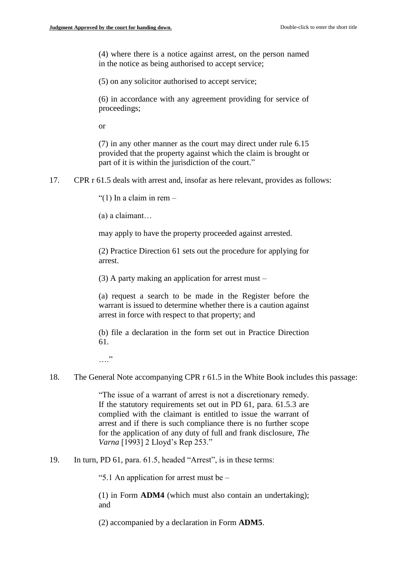(4) where there is a notice against arrest, on the person named in the notice as being authorised to accept service;

(5) on any solicitor authorised to accept service;

(6) in accordance with any agreement providing for service of proceedings;

or

(7) in any other manner as the court may direct under rule 6.15 provided that the property against which the claim is brought or part of it is within the jurisdiction of the court."

17. CPR r 61.5 deals with arrest and, insofar as here relevant, provides as follows:

"(1) In a claim in rem  $-$ 

(a) a claimant…

may apply to have the property proceeded against arrested.

(2) Practice Direction 61 sets out the procedure for applying for arrest.

(3) A party making an application for arrest must –

(a) request a search to be made in the Register before the warrant is issued to determine whether there is a caution against arrest in force with respect to that property; and

(b) file a declaration in the form set out in Practice Direction 61.

…"

18. The General Note accompanying CPR r 61.5 in the White Book includes this passage:

"The issue of a warrant of arrest is not a discretionary remedy. If the statutory requirements set out in PD 61, para. 61.5.3 are complied with the claimant is entitled to issue the warrant of arrest and if there is such compliance there is no further scope for the application of any duty of full and frank disclosure, *The Varna* [1993] 2 Lloyd's Rep 253."

19. In turn, PD 61, para. 61.5, headed "Arrest", is in these terms:

"5.1 An application for arrest must be –

(1) in Form **ADM4** (which must also contain an undertaking); and

(2) accompanied by a declaration in Form **ADM5**.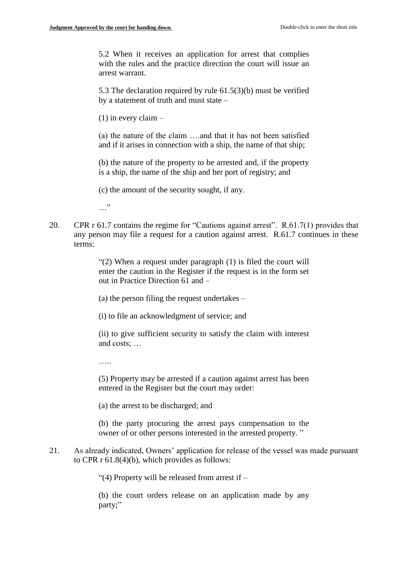5.2 When it receives an application for arrest that complies with the rules and the practice direction the court will issue an arrest warrant.

5.3 The declaration required by rule 61.5(3)(b) must be verified by a statement of truth and must state –

 $(1)$  in every claim –

(a) the nature of the claim ….and that it has not been satisfied and if it arises in connection with a ship, the name of that ship;

(b) the nature of the property to be arrested and, if the property is a ship, the name of the ship and her port of registry; and

(c) the amount of the security sought, if any.

 $\cdots$ 

20. CPR r 61.7 contains the regime for "Cautions against arrest". R.61.7(1) provides that any person may file a request for a caution against arrest. R.61.7 continues in these terms:

> "(2) When a request under paragraph (1) is filed the court will enter the caution in the Register if the request is in the form set out in Practice Direction 61 and –

(a) the person filing the request undertakes –

(i) to file an acknowledgment of service; and

(ii) to give sufficient security to satisfy the claim with interest and costs; …

……

(5) Property may be arrested if a caution against arrest has been entered in the Register but the court may order:

(a) the arrest to be discharged; and

(b) the party procuring the arrest pays compensation to the owner of or other persons interested in the arrested property. "

21. As already indicated, Owners' application for release of the vessel was made pursuant to CPR r 61.8(4)(b), which provides as follows:

"(4) Property will be released from arrest if  $-$ 

(b) the court orders release on an application made by any party;"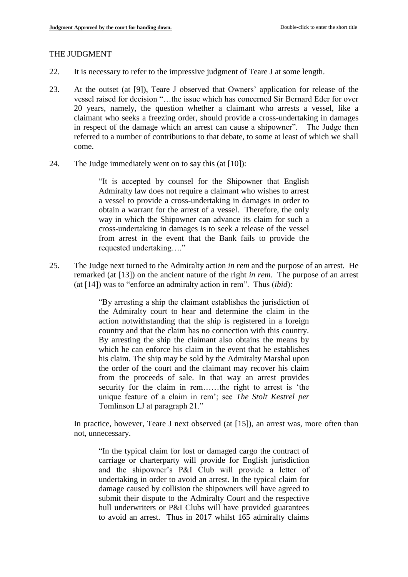#### THE JUDGMENT

- 22. It is necessary to refer to the impressive judgment of Teare J at some length.
- 23. At the outset (at [9]), Teare J observed that Owners' application for release of the vessel raised for decision "…the issue which has concerned Sir Bernard Eder for over 20 years, namely, the question whether a claimant who arrests a vessel, like a claimant who seeks a freezing order, should provide a cross-undertaking in damages in respect of the damage which an arrest can cause a shipowner". The Judge then referred to a number of contributions to that debate, to some at least of which we shall come.
- 24. The Judge immediately went on to say this (at [10]):

"It is accepted by counsel for the Shipowner that English Admiralty law does not require a claimant who wishes to arrest a vessel to provide a cross-undertaking in damages in order to obtain a warrant for the arrest of a vessel. Therefore, the only way in which the Shipowner can advance its claim for such a cross-undertaking in damages is to seek a release of the vessel from arrest in the event that the Bank fails to provide the requested undertaking…."

25. The Judge next turned to the Admiralty action *in rem* and the purpose of an arrest. He remarked (at [13]) on the ancient nature of the right *in rem*. The purpose of an arrest (at [14]) was to "enforce an admiralty action in rem". Thus (*ibid*):

> "By arresting a ship the claimant establishes the jurisdiction of the Admiralty court to hear and determine the claim in the action notwithstanding that the ship is registered in a foreign country and that the claim has no connection with this country. By arresting the ship the claimant also obtains the means by which he can enforce his claim in the event that he establishes his claim. The ship may be sold by the Admiralty Marshal upon the order of the court and the claimant may recover his claim from the proceeds of sale. In that way an arrest provides security for the claim in rem……the right to arrest is 'the unique feature of a claim in rem'; see *The Stolt Kestrel per*  Tomlinson LJ at paragraph 21."

In practice, however, Teare J next observed (at [15]), an arrest was, more often than not, unnecessary.

"In the typical claim for lost or damaged cargo the contract of carriage or charterparty will provide for English jurisdiction and the shipowner's P&I Club will provide a letter of undertaking in order to avoid an arrest. In the typical claim for damage caused by collision the shipowners will have agreed to submit their dispute to the Admiralty Court and the respective hull underwriters or P&I Clubs will have provided guarantees to avoid an arrest. Thus in 2017 whilst 165 admiralty claims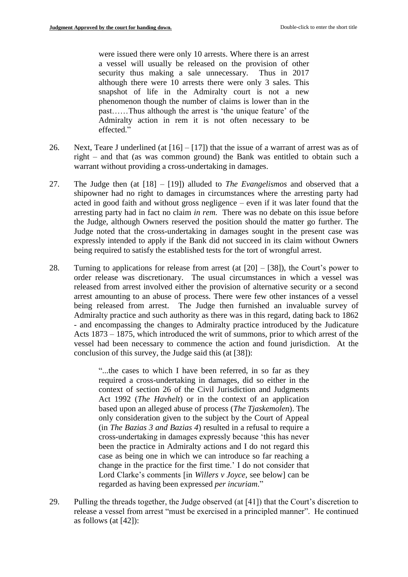were issued there were only 10 arrests. Where there is an arrest a vessel will usually be released on the provision of other security thus making a sale unnecessary. Thus in 2017 although there were 10 arrests there were only 3 sales. This snapshot of life in the Admiralty court is not a new phenomenon though the number of claims is lower than in the past……Thus although the arrest is 'the unique feature' of the Admiralty action in rem it is not often necessary to be effected."

- 26. Next, Teare J underlined (at  $[16] [17]$ ) that the issue of a warrant of arrest was as of right – and that (as was common ground) the Bank was entitled to obtain such a warrant without providing a cross-undertaking in damages.
- 27. The Judge then (at [18] [19]) alluded to *The Evangelismos* and observed that a shipowner had no right to damages in circumstances where the arresting party had acted in good faith and without gross negligence – even if it was later found that the arresting party had in fact no claim *in rem.* There was no debate on this issue before the Judge, although Owners reserved the position should the matter go further. The Judge noted that the cross-undertaking in damages sought in the present case was expressly intended to apply if the Bank did not succeed in its claim without Owners being required to satisfy the established tests for the tort of wrongful arrest.
- 28. Turning to applications for release from arrest (at  $[20] [38]$ ), the Court's power to order release was discretionary. The usual circumstances in which a vessel was released from arrest involved either the provision of alternative security or a second arrest amounting to an abuse of process. There were few other instances of a vessel being released from arrest. The Judge then furnished an invaluable survey of Admiralty practice and such authority as there was in this regard, dating back to 1862 - and encompassing the changes to Admiralty practice introduced by the Judicature Acts 1873 – 1875, which introduced the writ of summons, prior to which arrest of the vessel had been necessary to commence the action and found jurisdiction. At the conclusion of this survey, the Judge said this (at [38]):

"...the cases to which I have been referred, in so far as they required a cross-undertaking in damages, did so either in the context of section 26 of the Civil Jurisdiction and Judgments Act 1992 (*The Havhelt*) or in the context of an application based upon an alleged abuse of process (*The Tjaskemolen*). The only consideration given to the subject by the Court of Appeal (in *The Bazias 3 and Bazias 4*) resulted in a refusal to require a cross-undertaking in damages expressly because 'this has never been the practice in Admiralty actions and I do not regard this case as being one in which we can introduce so far reaching a change in the practice for the first time.' I do not consider that Lord Clarke's comments [in *Willers v Joyce*, see below] can be regarded as having been expressed *per incuriam*."

29. Pulling the threads together, the Judge observed (at [41]) that the Court's discretion to release a vessel from arrest "must be exercised in a principled manner". He continued as follows (at [42]):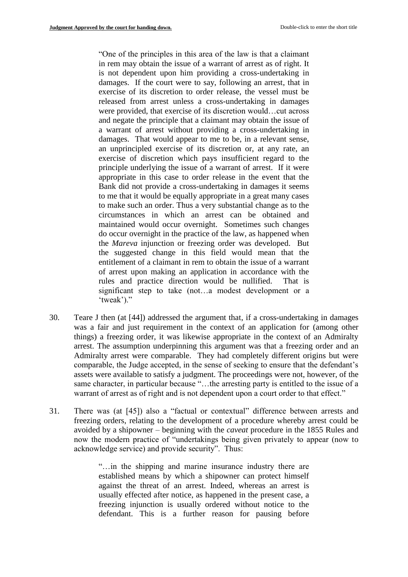"One of the principles in this area of the law is that a claimant in rem may obtain the issue of a warrant of arrest as of right. It is not dependent upon him providing a cross-undertaking in damages. If the court were to say, following an arrest, that in exercise of its discretion to order release, the vessel must be released from arrest unless a cross-undertaking in damages were provided, that exercise of its discretion would…cut across and negate the principle that a claimant may obtain the issue of a warrant of arrest without providing a cross-undertaking in damages. That would appear to me to be, in a relevant sense, an unprincipled exercise of its discretion or, at any rate, an exercise of discretion which pays insufficient regard to the principle underlying the issue of a warrant of arrest. If it were appropriate in this case to order release in the event that the Bank did not provide a cross-undertaking in damages it seems to me that it would be equally appropriate in a great many cases to make such an order. Thus a very substantial change as to the circumstances in which an arrest can be obtained and maintained would occur overnight. Sometimes such changes do occur overnight in the practice of the law, as happened when the *Mareva* injunction or freezing order was developed. But the suggested change in this field would mean that the entitlement of a claimant in rem to obtain the issue of a warrant of arrest upon making an application in accordance with the rules and practice direction would be nullified. That is significant step to take (not…a modest development or a 'tweak')."

- 30. Teare J then (at [44]) addressed the argument that, if a cross-undertaking in damages was a fair and just requirement in the context of an application for (among other things) a freezing order, it was likewise appropriate in the context of an Admiralty arrest. The assumption underpinning this argument was that a freezing order and an Admiralty arrest were comparable. They had completely different origins but were comparable, the Judge accepted, in the sense of seeking to ensure that the defendant's assets were available to satisfy a judgment. The proceedings were not, however, of the same character, in particular because "…the arresting party is entitled to the issue of a warrant of arrest as of right and is not dependent upon a court order to that effect."
- 31. There was (at [45]) also a "factual or contextual" difference between arrests and freezing orders, relating to the development of a procedure whereby arrest could be avoided by a shipowner – beginning with the *caveat* procedure in the 1855 Rules and now the modern practice of "undertakings being given privately to appear (now to acknowledge service) and provide security". Thus:

"…in the shipping and marine insurance industry there are established means by which a shipowner can protect himself against the threat of an arrest. Indeed, whereas an arrest is usually effected after notice, as happened in the present case, a freezing injunction is usually ordered without notice to the defendant. This is a further reason for pausing before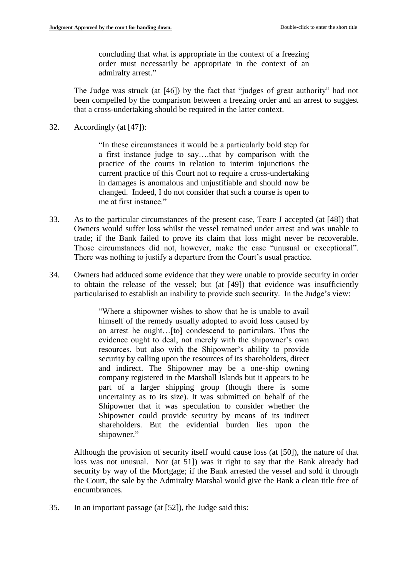concluding that what is appropriate in the context of a freezing order must necessarily be appropriate in the context of an admiralty arrest."

The Judge was struck (at [46]) by the fact that "judges of great authority" had not been compelled by the comparison between a freezing order and an arrest to suggest that a cross-undertaking should be required in the latter context.

32. Accordingly (at [47]):

"In these circumstances it would be a particularly bold step for a first instance judge to say….that by comparison with the practice of the courts in relation to interim injunctions the current practice of this Court not to require a cross-undertaking in damages is anomalous and unjustifiable and should now be changed. Indeed, I do not consider that such a course is open to me at first instance."

- 33. As to the particular circumstances of the present case, Teare J accepted (at [48]) that Owners would suffer loss whilst the vessel remained under arrest and was unable to trade; if the Bank failed to prove its claim that loss might never be recoverable. Those circumstances did not, however, make the case "unusual or exceptional". There was nothing to justify a departure from the Court's usual practice.
- 34. Owners had adduced some evidence that they were unable to provide security in order to obtain the release of the vessel; but (at [49]) that evidence was insufficiently particularised to establish an inability to provide such security. In the Judge's view:

"Where a shipowner wishes to show that he is unable to avail himself of the remedy usually adopted to avoid loss caused by an arrest he ought…[to] condescend to particulars. Thus the evidence ought to deal, not merely with the shipowner's own resources, but also with the Shipowner's ability to provide security by calling upon the resources of its shareholders, direct and indirect. The Shipowner may be a one-ship owning company registered in the Marshall Islands but it appears to be part of a larger shipping group (though there is some uncertainty as to its size). It was submitted on behalf of the Shipowner that it was speculation to consider whether the Shipowner could provide security by means of its indirect shareholders. But the evidential burden lies upon the shipowner."

Although the provision of security itself would cause loss (at [50]), the nature of that loss was not unusual. Nor (at 51]) was it right to say that the Bank already had security by way of the Mortgage; if the Bank arrested the vessel and sold it through the Court, the sale by the Admiralty Marshal would give the Bank a clean title free of encumbrances.

35. In an important passage (at [52]), the Judge said this: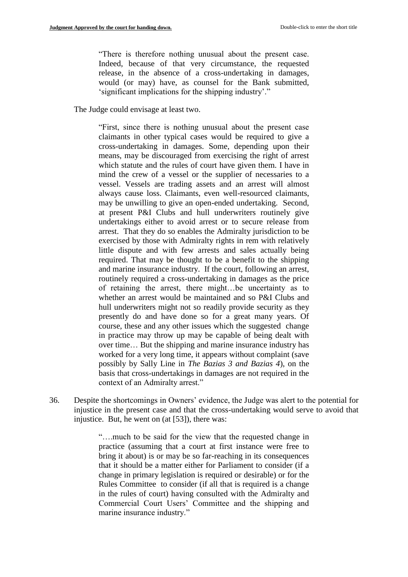"There is therefore nothing unusual about the present case. Indeed, because of that very circumstance, the requested release, in the absence of a cross-undertaking in damages, would (or may) have, as counsel for the Bank submitted, 'significant implications for the shipping industry'."

The Judge could envisage at least two.

"First, since there is nothing unusual about the present case claimants in other typical cases would be required to give a cross-undertaking in damages. Some, depending upon their means, may be discouraged from exercising the right of arrest which statute and the rules of court have given them. I have in mind the crew of a vessel or the supplier of necessaries to a vessel. Vessels are trading assets and an arrest will almost always cause loss. Claimants, even well-resourced claimants, may be unwilling to give an open-ended undertaking. Second, at present P&I Clubs and hull underwriters routinely give undertakings either to avoid arrest or to secure release from arrest. That they do so enables the Admiralty jurisdiction to be exercised by those with Admiralty rights in rem with relatively little dispute and with few arrests and sales actually being required. That may be thought to be a benefit to the shipping and marine insurance industry. If the court, following an arrest, routinely required a cross-undertaking in damages as the price of retaining the arrest, there might…be uncertainty as to whether an arrest would be maintained and so P&I Clubs and hull underwriters might not so readily provide security as they presently do and have done so for a great many years. Of course, these and any other issues which the suggested change in practice may throw up may be capable of being dealt with over time… But the shipping and marine insurance industry has worked for a very long time, it appears without complaint (save possibly by Sally Line in *The Bazias 3 and Bazias 4*), on the basis that cross-undertakings in damages are not required in the context of an Admiralty arrest."

36. Despite the shortcomings in Owners' evidence, the Judge was alert to the potential for injustice in the present case and that the cross-undertaking would serve to avoid that injustice. But, he went on (at [53]), there was:

> "….much to be said for the view that the requested change in practice (assuming that a court at first instance were free to bring it about) is or may be so far-reaching in its consequences that it should be a matter either for Parliament to consider (if a change in primary legislation is required or desirable) or for the Rules Committee to consider (if all that is required is a change in the rules of court) having consulted with the Admiralty and Commercial Court Users' Committee and the shipping and marine insurance industry."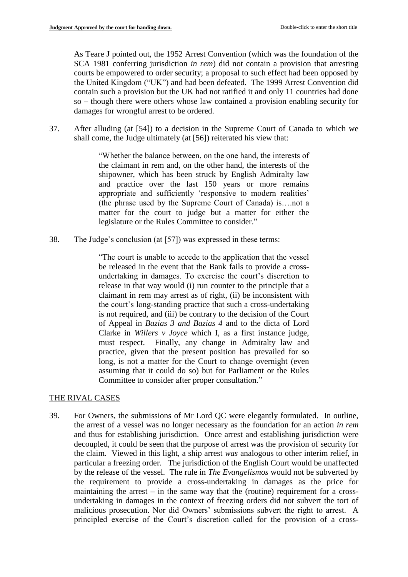As Teare J pointed out, the 1952 Arrest Convention (which was the foundation of the SCA 1981 conferring jurisdiction *in rem*) did not contain a provision that arresting courts be empowered to order security; a proposal to such effect had been opposed by the United Kingdom ("UK") and had been defeated. The 1999 Arrest Convention did contain such a provision but the UK had not ratified it and only 11 countries had done so – though there were others whose law contained a provision enabling security for damages for wrongful arrest to be ordered.

37. After alluding (at [54]) to a decision in the Supreme Court of Canada to which we shall come, the Judge ultimately (at [56]) reiterated his view that:

> "Whether the balance between, on the one hand, the interests of the claimant in rem and, on the other hand, the interests of the shipowner, which has been struck by English Admiralty law and practice over the last 150 years or more remains appropriate and sufficiently 'responsive to modern realities' (the phrase used by the Supreme Court of Canada) is….not a matter for the court to judge but a matter for either the legislature or the Rules Committee to consider."

38. The Judge's conclusion (at [57]) was expressed in these terms:

"The court is unable to accede to the application that the vessel be released in the event that the Bank fails to provide a crossundertaking in damages. To exercise the court's discretion to release in that way would (i) run counter to the principle that a claimant in rem may arrest as of right, (ii) be inconsistent with the court's long-standing practice that such a cross-undertaking is not required, and (iii) be contrary to the decision of the Court of Appeal in *Bazias 3 and Bazias 4* and to the dicta of Lord Clarke in *Willers v Joyce* which I, as a first instance judge, must respect. Finally, any change in Admiralty law and practice, given that the present position has prevailed for so long, is not a matter for the Court to change overnight (even assuming that it could do so) but for Parliament or the Rules Committee to consider after proper consultation."

### THE RIVAL CASES

39. For Owners, the submissions of Mr Lord QC were elegantly formulated. In outline, the arrest of a vessel was no longer necessary as the foundation for an action *in rem* and thus for establishing jurisdiction. Once arrest and establishing jurisdiction were decoupled, it could be seen that the purpose of arrest was the provision of security for the claim. Viewed in this light, a ship arrest *was* analogous to other interim relief, in particular a freezing order. The jurisdiction of the English Court would be unaffected by the release of the vessel. The rule in *The Evangelismos* would not be subverted by the requirement to provide a cross-undertaking in damages as the price for maintaining the arrest  $-$  in the same way that the (routine) requirement for a crossundertaking in damages in the context of freezing orders did not subvert the tort of malicious prosecution. Nor did Owners' submissions subvert the right to arrest. A principled exercise of the Court's discretion called for the provision of a cross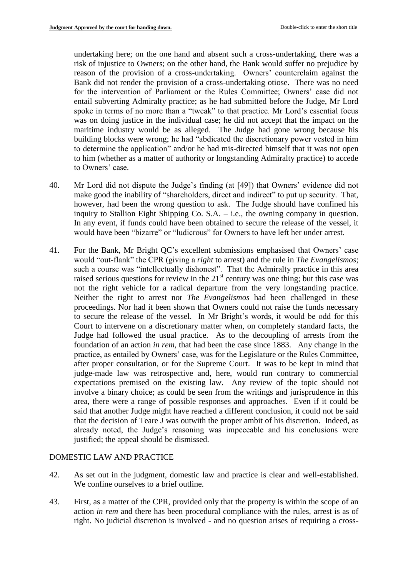undertaking here; on the one hand and absent such a cross-undertaking, there was a risk of injustice to Owners; on the other hand, the Bank would suffer no prejudice by reason of the provision of a cross-undertaking. Owners' counterclaim against the Bank did not render the provision of a cross-undertaking otiose. There was no need for the intervention of Parliament or the Rules Committee; Owners' case did not entail subverting Admiralty practice; as he had submitted before the Judge, Mr Lord spoke in terms of no more than a "tweak" to that practice. Mr Lord's essential focus was on doing justice in the individual case; he did not accept that the impact on the maritime industry would be as alleged. The Judge had gone wrong because his building blocks were wrong; he had "abdicated the discretionary power vested in him to determine the application" and/or he had mis-directed himself that it was not open to him (whether as a matter of authority or longstanding Admiralty practice) to accede to Owners' case.

- 40. Mr Lord did not dispute the Judge's finding (at [49]) that Owners' evidence did not make good the inability of "shareholders, direct and indirect" to put up security. That, however, had been the wrong question to ask. The Judge should have confined his inquiry to Stallion Eight Shipping Co. S.A. – i.e., the owning company in question. In any event, if funds could have been obtained to secure the release of the vessel, it would have been "bizarre" or "ludicrous" for Owners to have left her under arrest.
- 41. For the Bank, Mr Bright QC's excellent submissions emphasised that Owners' case would "out-flank" the CPR (giving a *right* to arrest) and the rule in *The Evangelismos*; such a course was "intellectually dishonest". That the Admiralty practice in this area raised serious questions for review in the  $21<sup>st</sup>$  century was one thing; but this case was not the right vehicle for a radical departure from the very longstanding practice. Neither the right to arrest nor *The Evangelismos* had been challenged in these proceedings. Nor had it been shown that Owners could not raise the funds necessary to secure the release of the vessel. In Mr Bright's words, it would be odd for this Court to intervene on a discretionary matter when, on completely standard facts, the Judge had followed the usual practice. As to the decoupling of arrests from the foundation of an action *in rem*, that had been the case since 1883. Any change in the practice, as entailed by Owners' case, was for the Legislature or the Rules Committee, after proper consultation, or for the Supreme Court. It was to be kept in mind that judge-made law was retrospective and, here, would run contrary to commercial expectations premised on the existing law. Any review of the topic should not involve a binary choice; as could be seen from the writings and jurisprudence in this area, there were a range of possible responses and approaches. Even if it could be said that another Judge might have reached a different conclusion, it could not be said that the decision of Teare J was outwith the proper ambit of his discretion. Indeed, as already noted, the Judge's reasoning was impeccable and his conclusions were justified; the appeal should be dismissed.

### DOMESTIC LAW AND PRACTICE

- 42. As set out in the judgment, domestic law and practice is clear and well-established. We confine ourselves to a brief outline.
- 43. First, as a matter of the CPR, provided only that the property is within the scope of an action *in rem* and there has been procedural compliance with the rules, arrest is as of right. No judicial discretion is involved - and no question arises of requiring a cross-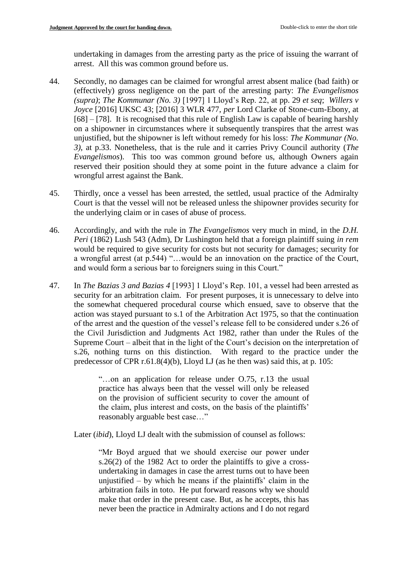undertaking in damages from the arresting party as the price of issuing the warrant of arrest. All this was common ground before us.

- 44. Secondly, no damages can be claimed for wrongful arrest absent malice (bad faith) or (effectively) gross negligence on the part of the arresting party: *The Evangelismos (supra)*; *The Kommunar (No. 3)* [1997] 1 Lloyd's Rep. 22, at pp. 29 *et seq*; *Willers v Joyce* [2016] UKSC 43; [2016] 3 WLR 477, *per* Lord Clarke of Stone-cum-Ebony, at [68] – [78]. It is recognised that this rule of English Law is capable of bearing harshly on a shipowner in circumstances where it subsequently transpires that the arrest was unjustified, but the shipowner is left without remedy for his loss: *The Kommunar (No. 3)*, at p.33. Nonetheless, that is the rule and it carries Privy Council authority (*The Evangelismos*). This too was common ground before us, although Owners again reserved their position should they at some point in the future advance a claim for wrongful arrest against the Bank.
- 45. Thirdly, once a vessel has been arrested, the settled, usual practice of the Admiralty Court is that the vessel will not be released unless the shipowner provides security for the underlying claim or in cases of abuse of process.
- 46. Accordingly, and with the rule in *The Evangelismos* very much in mind, in the *D.H. Peri* (1862) Lush 543 (Adm), Dr Lushington held that a foreign plaintiff suing *in rem* would be required to give security for costs but not security for damages; security for a wrongful arrest (at p.544) "…would be an innovation on the practice of the Court, and would form a serious bar to foreigners suing in this Court."
- 47. In *The Bazias 3 and Bazias 4* [1993] 1 Lloyd's Rep. 101, a vessel had been arrested as security for an arbitration claim. For present purposes, it is unnecessary to delve into the somewhat chequered procedural course which ensued, save to observe that the action was stayed pursuant to s.1 of the Arbitration Act 1975, so that the continuation of the arrest and the question of the vessel's release fell to be considered under s.26 of the Civil Jurisdiction and Judgments Act 1982, rather than under the Rules of the Supreme Court – albeit that in the light of the Court's decision on the interpretation of s.26, nothing turns on this distinction. With regard to the practice under the predecessor of CPR r.61.8(4)(b), Lloyd LJ (as he then was) said this, at p. 105:

"…on an application for release under O.75, r.13 the usual practice has always been that the vessel will only be released on the provision of sufficient security to cover the amount of the claim, plus interest and costs, on the basis of the plaintiffs' reasonably arguable best case…"

Later (*ibid*), Lloyd LJ dealt with the submission of counsel as follows:

"Mr Boyd argued that we should exercise our power under s.26(2) of the 1982 Act to order the plaintiffs to give a crossundertaking in damages in case the arrest turns out to have been unjustified – by which he means if the plaintiffs' claim in the arbitration fails in toto. He put forward reasons why we should make that order in the present case. But, as he accepts, this has never been the practice in Admiralty actions and I do not regard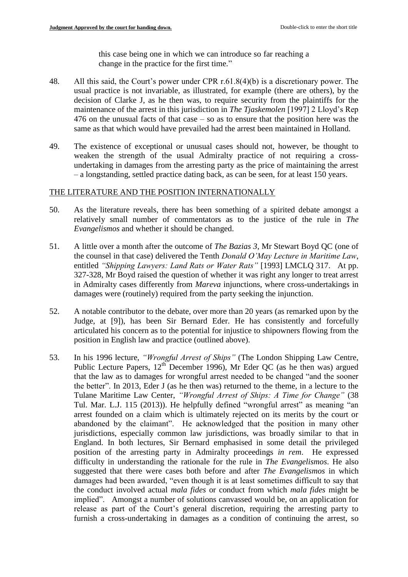this case being one in which we can introduce so far reaching a change in the practice for the first time."

- 48. All this said, the Court's power under CPR r.61.8(4)(b) is a discretionary power. The usual practice is not invariable, as illustrated, for example (there are others), by the decision of Clarke J, as he then was, to require security from the plaintiffs for the maintenance of the arrest in this jurisdiction in *The Tjaskemolen* [1997] 2 Lloyd's Rep 476 on the unusual facts of that case – so as to ensure that the position here was the same as that which would have prevailed had the arrest been maintained in Holland.
- 49. The existence of exceptional or unusual cases should not, however, be thought to weaken the strength of the usual Admiralty practice of not requiring a crossundertaking in damages from the arresting party as the price of maintaining the arrest – a longstanding, settled practice dating back, as can be seen, for at least 150 years.

### THE LITERATURE AND THE POSITION INTERNATIONALLY

- 50. As the literature reveals, there has been something of a spirited debate amongst a relatively small number of commentators as to the justice of the rule in *The Evangelismos* and whether it should be changed.
- 51. A little over a month after the outcome of *The Bazias 3*, Mr Stewart Boyd QC (one of the counsel in that case) delivered the Tenth *Donald O'May Lecture in Maritime Law*, entitled *"Shipping Lawyers: Land Rats or Water Rats"* [1993] LMCLQ 317. At pp. 327-328, Mr Boyd raised the question of whether it was right any longer to treat arrest in Admiralty cases differently from *Mareva* injunctions, where cross-undertakings in damages were (routinely) required from the party seeking the injunction.
- 52. A notable contributor to the debate, over more than 20 years (as remarked upon by the Judge, at [9]), has been Sir Bernard Eder. He has consistently and forcefully articulated his concern as to the potential for injustice to shipowners flowing from the position in English law and practice (outlined above).
- 53. In his 1996 lecture, *"Wrongful Arrest of Ships"* (The London Shipping Law Centre, Public Lecture Papers,  $12^{th}$  December 1996), Mr Eder QC (as he then was) argued that the law as to damages for wrongful arrest needed to be changed "and the sooner the better". In 2013, Eder J (as he then was) returned to the theme, in a lecture to the Tulane Maritime Law Center, *"Wrongful Arrest of Ships: A Time for Change"* (38 Tul. Mar. L.J. 115 (2013)). He helpfully defined "wrongful arrest" as meaning "an arrest founded on a claim which is ultimately rejected on its merits by the court or abandoned by the claimant". He acknowledged that the position in many other jurisdictions, especially common law jurisdictions, was broadly similar to that in England. In both lectures, Sir Bernard emphasised in some detail the privileged position of the arresting party in Admiralty proceedings *in rem*. He expressed difficulty in understanding the rationale for the rule in *The Evangelismos*. He also suggested that there were cases both before and after *The Evangelismos* in which damages had been awarded, "even though it is at least sometimes difficult to say that the conduct involved actual *mala fides* or conduct from which *mala fides* might be implied". Amongst a number of solutions canvassed would be, on an application for release as part of the Court's general discretion, requiring the arresting party to furnish a cross-undertaking in damages as a condition of continuing the arrest, so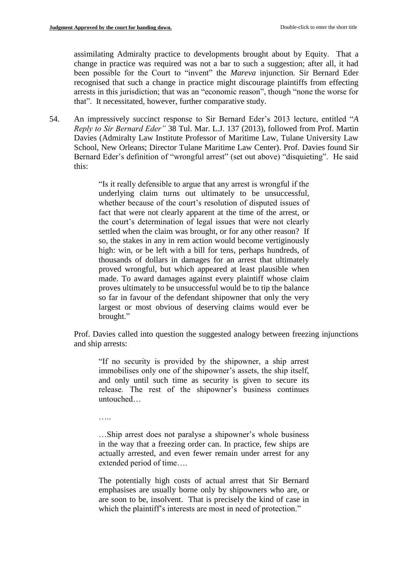assimilating Admiralty practice to developments brought about by Equity. That a change in practice was required was not a bar to such a suggestion; after all, it had been possible for the Court to "invent" the *Mareva* injunction. Sir Bernard Eder recognised that such a change in practice might discourage plaintiffs from effecting arrests in this jurisdiction; that was an "economic reason", though "none the worse for that". It necessitated, however, further comparative study.

54. An impressively succinct response to Sir Bernard Eder's 2013 lecture, entitled "*A Reply to Sir Bernard Eder"* 38 Tul. Mar. L.J. 137 (2013), followed from Prof. Martin Davies (Admiralty Law Institute Professor of Maritime Law, Tulane University Law School, New Orleans; Director Tulane Maritime Law Center). Prof. Davies found Sir Bernard Eder's definition of "wrongful arrest" (set out above) "disquieting". He said this:

> "Is it really defensible to argue that any arrest is wrongful if the underlying claim turns out ultimately to be unsuccessful, whether because of the court's resolution of disputed issues of fact that were not clearly apparent at the time of the arrest, or the court's determination of legal issues that were not clearly settled when the claim was brought, or for any other reason? If so, the stakes in any in rem action would become vertiginously high: win, or be left with a bill for tens, perhaps hundreds, of thousands of dollars in damages for an arrest that ultimately proved wrongful, but which appeared at least plausible when made. To award damages against every plaintiff whose claim proves ultimately to be unsuccessful would be to tip the balance so far in favour of the defendant shipowner that only the very largest or most obvious of deserving claims would ever be brought."

Prof. Davies called into question the suggested analogy between freezing injunctions and ship arrests:

"If no security is provided by the shipowner, a ship arrest immobilises only one of the shipowner's assets, the ship itself, and only until such time as security is given to secure its release. The rest of the shipowner's business continues untouched…

…..

…Ship arrest does not paralyse a shipowner's whole business in the way that a freezing order can. In practice, few ships are actually arrested, and even fewer remain under arrest for any extended period of time….

The potentially high costs of actual arrest that Sir Bernard emphasises are usually borne only by shipowners who are, or are soon to be, insolvent. That is precisely the kind of case in which the plaintiff's interests are most in need of protection."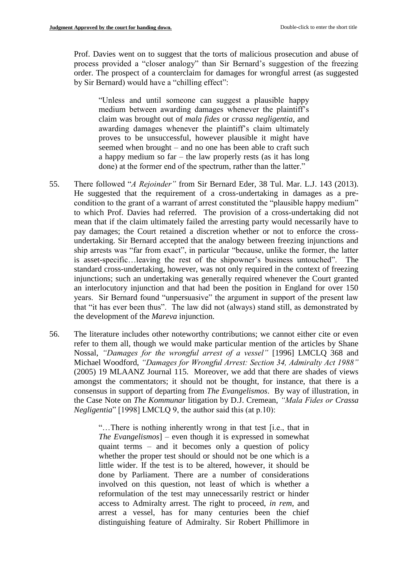Prof. Davies went on to suggest that the torts of malicious prosecution and abuse of process provided a "closer analogy" than Sir Bernard's suggestion of the freezing order. The prospect of a counterclaim for damages for wrongful arrest (as suggested by Sir Bernard) would have a "chilling effect":

"Unless and until someone can suggest a plausible happy medium between awarding damages whenever the plaintiff's claim was brought out of *mala fides* or *crassa negligentia*, and awarding damages whenever the plaintiff's claim ultimately proves to be unsuccessful, however plausible it might have seemed when brought – and no one has been able to craft such a happy medium so far – the law properly rests (as it has long done) at the former end of the spectrum, rather than the latter."

- 55. There followed "*A Rejoinder"* from Sir Bernard Eder, 38 Tul. Mar. L.J. 143 (2013). He suggested that the requirement of a cross-undertaking in damages as a precondition to the grant of a warrant of arrest constituted the "plausible happy medium" to which Prof. Davies had referred. The provision of a cross-undertaking did not mean that if the claim ultimately failed the arresting party would necessarily have to pay damages; the Court retained a discretion whether or not to enforce the crossundertaking. Sir Bernard accepted that the analogy between freezing injunctions and ship arrests was "far from exact", in particular "because, unlike the former, the latter is asset-specific…leaving the rest of the shipowner's business untouched". The standard cross-undertaking, however, was not only required in the context of freezing injunctions; such an undertaking was generally required whenever the Court granted an interlocutory injunction and that had been the position in England for over 150 years. Sir Bernard found "unpersuasive" the argument in support of the present law that "it has ever been thus". The law did not (always) stand still, as demonstrated by the development of the *Mareva* injunction.
- 56. The literature includes other noteworthy contributions; we cannot either cite or even refer to them all, though we would make particular mention of the articles by Shane Nossal, *"Damages for the wrongful arrest of a vessel"* [1996] LMCLQ 368 and Michael Woodford, *"Damages for Wrongful Arrest: Section 34, Admiralty Act 1988"* (2005) 19 MLAANZ Journal 115. Moreover, we add that there are shades of views amongst the commentators; it should not be thought, for instance, that there is a consensus in support of departing from *The Evangelismos*. By way of illustration, in the Case Note on *The Kommunar* litigation by D.J. Cremean, *"Mala Fides or Crassa Negligentia*" [1998] LMCLO 9, the author said this (at p.10):

"…There is nothing inherently wrong in that test [i.e., that in *The Evangelismos*] – even though it is expressed in somewhat quaint terms – and it becomes only a question of policy whether the proper test should or should not be one which is a little wider. If the test is to be altered, however, it should be done by Parliament. There are a number of considerations involved on this question, not least of which is whether a reformulation of the test may unnecessarily restrict or hinder access to Admiralty arrest. The right to proceed, *in rem*, and arrest a vessel, has for many centuries been the chief distinguishing feature of Admiralty. Sir Robert Phillimore in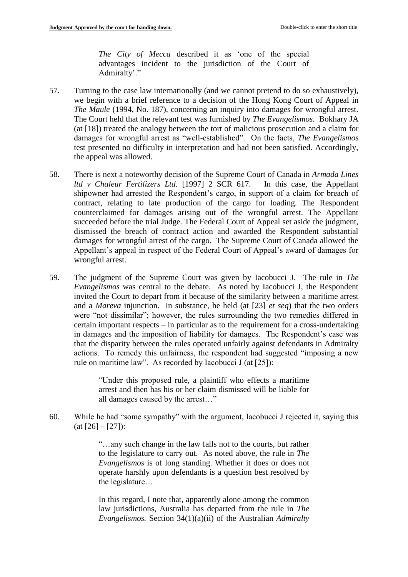*The City of Mecca* described it as 'one of the special advantages incident to the jurisdiction of the Court of Admiralty'."

- 57. Turning to the case law internationally (and we cannot pretend to do so exhaustively), we begin with a brief reference to a decision of the Hong Kong Court of Appeal in *The Maule* (1994, No. 187), concerning an inquiry into damages for wrongful arrest. The Court held that the relevant test was furnished by *The Evangelismos.* Bokhary JA (at [18]) treated the analogy between the tort of malicious prosecution and a claim for damages for wrongful arrest as "well-established". On the facts, *The Evangelismos* test presented no difficulty in interpretation and had not been satisfied. Accordingly, the appeal was allowed.
- 58. There is next a noteworthy decision of the Supreme Court of Canada in *Armada Lines ltd v Chaleur Fertilizers Ltd.* [1997] 2 SCR 617. In this case, the Appellant shipowner had arrested the Respondent's cargo, in support of a claim for breach of contract, relating to late production of the cargo for loading. The Respondent counterclaimed for damages arising out of the wrongful arrest. The Appellant succeeded before the trial Judge. The Federal Court of Appeal set aside the judgment, dismissed the breach of contract action and awarded the Respondent substantial damages for wrongful arrest of the cargo. The Supreme Court of Canada allowed the Appellant's appeal in respect of the Federal Court of Appeal's award of damages for wrongful arrest.
- 59. The judgment of the Supreme Court was given by Iacobucci J. The rule in *The Evangelismos* was central to the debate. As noted by Iacobucci J, the Respondent invited the Court to depart from it because of the similarity between a maritime arrest and a *Mareva* injunction. In substance, he held (at [23] *et seq*) that the two orders were "not dissimilar"; however, the rules surrounding the two remedies differed in certain important respects – in particular as to the requirement for a cross-undertaking in damages and the imposition of liability for damages. The Respondent's case was that the disparity between the rules operated unfairly against defendants in Admiralty actions. To remedy this unfairness, the respondent had suggested "imposing a new rule on maritime law". As recorded by Iacobucci J (at [25]):

"Under this proposed rule, a plaintiff who effects a maritime arrest and then has his or her claim dismissed will be liable for all damages caused by the arrest…"

60. While he had "some sympathy" with the argument, Iacobucci J rejected it, saying this  $(at [26] - [27])$ :

> "…any such change in the law falls not to the courts, but rather to the legislature to carry out. As noted above, the rule in *The Evangelismos* is of long standing. Whether it does or does not operate harshly upon defendants is a question best resolved by the legislature…

> In this regard, I note that, apparently alone among the common law jurisdictions, Australia has departed from the rule in *The Evangelismos.* Section 34(1)(a)(ii) of the Australian *Admiralty*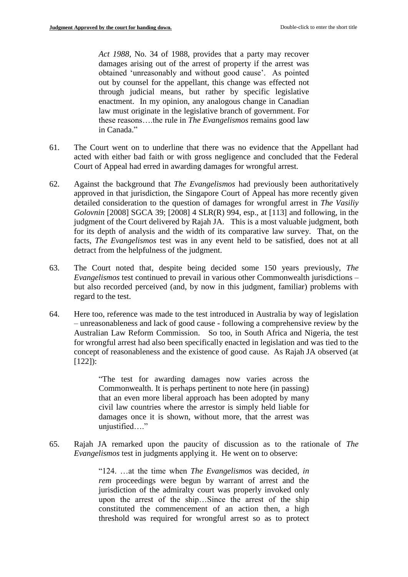*Act 1988,* No. 34 of 1988, provides that a party may recover damages arising out of the arrest of property if the arrest was obtained 'unreasonably and without good cause'. As pointed out by counsel for the appellant, this change was effected not through judicial means, but rather by specific legislative enactment. In my opinion, any analogous change in Canadian law must originate in the legislative branch of government. For these reasons….the rule in *The Evangelismos* remains good law in Canada."

- 61. The Court went on to underline that there was no evidence that the Appellant had acted with either bad faith or with gross negligence and concluded that the Federal Court of Appeal had erred in awarding damages for wrongful arrest.
- 62. Against the background that *The Evangelismos* had previously been authoritatively approved in that jurisdiction, the Singapore Court of Appeal has more recently given detailed consideration to the question of damages for wrongful arrest in *The Vasiliy Golovnin* [2008] SGCA 39; [2008] 4 SLR(R) 994, esp., at [113] and following, in the judgment of the Court delivered by Rajah JA. This is a most valuable judgment, both for its depth of analysis and the width of its comparative law survey. That, on the facts, *The Evangelismos* test was in any event held to be satisfied, does not at all detract from the helpfulness of the judgment.
- 63. The Court noted that, despite being decided some 150 years previously, *The Evangelismos* test continued to prevail in various other Commonwealth jurisdictions – but also recorded perceived (and, by now in this judgment, familiar) problems with regard to the test.
- 64. Here too, reference was made to the test introduced in Australia by way of legislation – unreasonableness and lack of good cause - following a comprehensive review by the Australian Law Reform Commission. So too, in South Africa and Nigeria, the test for wrongful arrest had also been specifically enacted in legislation and was tied to the concept of reasonableness and the existence of good cause. As Rajah JA observed (at [122]):

"The test for awarding damages now varies across the Commonwealth. It is perhaps pertinent to note here (in passing) that an even more liberal approach has been adopted by many civil law countries where the arrestor is simply held liable for damages once it is shown, without more, that the arrest was unjustified…."

65. Rajah JA remarked upon the paucity of discussion as to the rationale of *The Evangelismos* test in judgments applying it. He went on to observe:

> "124. …at the time when *The Evangelismos* was decided, *in rem* proceedings were begun by warrant of arrest and the jurisdiction of the admiralty court was properly invoked only upon the arrest of the ship…Since the arrest of the ship constituted the commencement of an action then, a high threshold was required for wrongful arrest so as to protect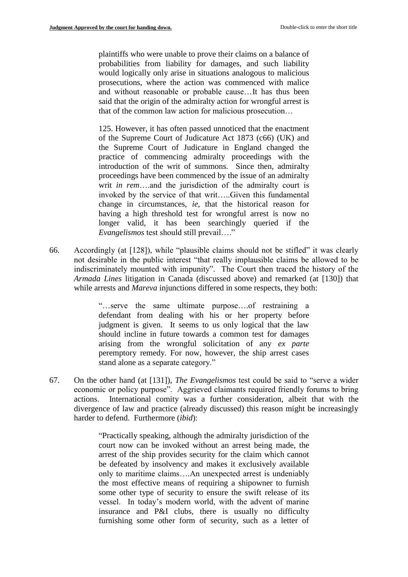plaintiffs who were unable to prove their claims on a balance of probabilities from liability for damages, and such liability would logically only arise in situations analogous to malicious prosecutions, where the action was commenced with malice and without reasonable or probable cause…It has thus been said that the origin of the admiralty action for wrongful arrest is that of the common law action for malicious prosecution…

125. However, it has often passed unnoticed that the enactment of the Supreme Court of Judicature Act 1873 (c66) (UK) and the Supreme Court of Judicature in England changed the practice of commencing admiralty proceedings with the introduction of the writ of summons. Since then, admiralty proceedings have been commenced by the issue of an admiralty writ *in rem*….and the jurisdiction of the admiralty court is invoked by the service of that writ…..Given this fundamental change in circumstances, *ie,* that the historical reason for having a high threshold test for wrongful arrest is now no longer valid, it has been searchingly queried if the *Evangelismos* test should still prevail…."

66. Accordingly (at [128]), while "plausible claims should not be stifled" it was clearly not desirable in the public interest "that really implausible claims be allowed to be indiscriminately mounted with impunity". The Court then traced the history of the *Armada Lines* litigation in Canada (discussed above) and remarked (at [130]) that while arrests and *Mareva* injunctions differed in some respects, they both:

> "…serve the same ultimate purpose….of restraining a defendant from dealing with his or her property before judgment is given. It seems to us only logical that the law should incline in future towards a common test for damages arising from the wrongful solicitation of any *ex parte*  peremptory remedy. For now, however, the ship arrest cases stand alone as a separate category."

67. On the other hand (at [131]), *The Evangelismos* test could be said to "serve a wider economic or policy purpose". Aggrieved claimants required friendly forums to bring actions. International comity was a further consideration, albeit that with the divergence of law and practice (already discussed) this reason might be increasingly harder to defend. Furthermore (*ibid*):

> "Practically speaking, although the admiralty jurisdiction of the court now can be invoked without an arrest being made, the arrest of the ship provides security for the claim which cannot be defeated by insolvency and makes it exclusively available only to maritime claims….An unexpected arrest is undeniably the most effective means of requiring a shipowner to furnish some other type of security to ensure the swift release of its vessel. In today's modern world, with the advent of marine insurance and P&I clubs, there is usually no difficulty furnishing some other form of security, such as a letter of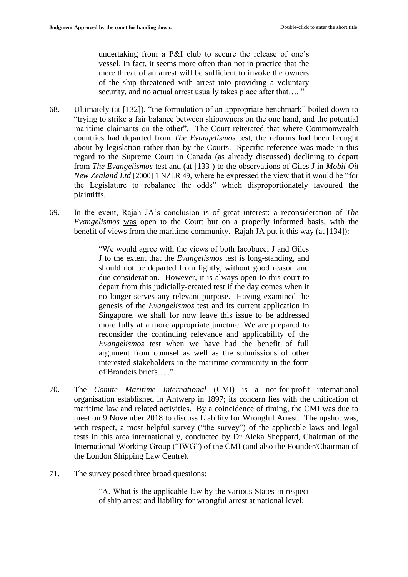undertaking from a P&I club to secure the release of one's vessel. In fact, it seems more often than not in practice that the mere threat of an arrest will be sufficient to invoke the owners of the ship threatened with arrest into providing a voluntary security, and no actual arrest usually takes place after that...."

- 68. Ultimately (at [132]), "the formulation of an appropriate benchmark" boiled down to "trying to strike a fair balance between shipowners on the one hand, and the potential maritime claimants on the other". The Court reiterated that where Commonwealth countries had departed from *The Evangelismos* test, the reforms had been brought about by legislation rather than by the Courts. Specific reference was made in this regard to the Supreme Court in Canada (as already discussed) declining to depart from *The Evangelismos* test and (at [133]) to the observations of Giles J in *Mobil Oil New Zealand Ltd* [2000] 1 NZLR 49, where he expressed the view that it would be "for the Legislature to rebalance the odds" which disproportionately favoured the plaintiffs.
- 69. In the event, Rajah JA's conclusion is of great interest: a reconsideration of *The Evangelismos* was open to the Court but on a properly informed basis, with the benefit of views from the maritime community. Rajah JA put it this way (at [134]):

"We would agree with the views of both Iacobucci J and Giles J to the extent that the *Evangelismos* test is long-standing, and should not be departed from lightly, without good reason and due consideration. However, it is always open to this court to depart from this judicially-created test if the day comes when it no longer serves any relevant purpose. Having examined the genesis of the *Evangelismos* test and its current application in Singapore, we shall for now leave this issue to be addressed more fully at a more appropriate juncture. We are prepared to reconsider the continuing relevance and applicability of the *Evangelismos* test when we have had the benefit of full argument from counsel as well as the submissions of other interested stakeholders in the maritime community in the form of Brandeis briefs….."

- 70. The *Comite Maritime International* (CMI) is a not-for-profit international organisation established in Antwerp in 1897; its concern lies with the unification of maritime law and related activities. By a coincidence of timing, the CMI was due to meet on 9 November 2018 to discuss Liability for Wrongful Arrest. The upshot was, with respect, a most helpful survey ("the survey") of the applicable laws and legal tests in this area internationally, conducted by Dr Aleka Sheppard, Chairman of the International Working Group ("IWG") of the CMI (and also the Founder/Chairman of the London Shipping Law Centre).
- 71. The survey posed three broad questions:

"A. What is the applicable law by the various States in respect of ship arrest and liability for wrongful arrest at national level;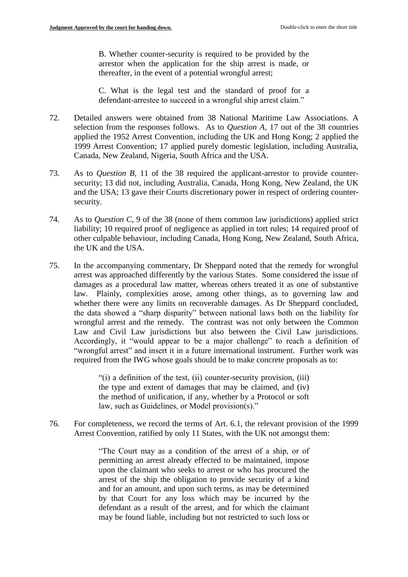B. Whether counter-security is required to be provided by the arrestor when the application for the ship arrest is made, or thereafter, in the event of a potential wrongful arrest;

C. What is the legal test and the standard of proof for a defendant-arrestee to succeed in a wrongful ship arrest claim."

- 72. Detailed answers were obtained from 38 National Maritime Law Associations. A selection from the responses follows. As to *Question A*, 17 out of the 38 countries applied the 1952 Arrest Convention, including the UK and Hong Kong; 2 applied the 1999 Arrest Convention; 17 applied purely domestic legislation, including Australia, Canada, New Zealand, Nigeria, South Africa and the USA.
- 73. As to *Question B*, 11 of the 38 required the applicant-arrestor to provide countersecurity; 13 did not, including Australia, Canada, Hong Kong, New Zealand, the UK and the USA; 13 gave their Courts discretionary power in respect of ordering countersecurity.
- 74. As to *Question C*, 9 of the 38 (none of them common law jurisdictions) applied strict liability; 10 required proof of negligence as applied in tort rules; 14 required proof of other culpable behaviour, including Canada, Hong Kong, New Zealand, South Africa, the UK and the USA.
- 75. In the accompanying commentary, Dr Sheppard noted that the remedy for wrongful arrest was approached differently by the various States. Some considered the issue of damages as a procedural law matter, whereas others treated it as one of substantive law. Plainly, complexities arose, among other things, as to governing law and whether there were any limits on recoverable damages. As Dr Sheppard concluded, the data showed a "sharp disparity" between national laws both on the liability for wrongful arrest and the remedy. The contrast was not only between the Common Law and Civil Law jurisdictions but also between the Civil Law jurisdictions. Accordingly, it "would appear to be a major challenge" to reach a definition of "wrongful arrest" and insert it in a future international instrument. Further work was required from the IWG whose goals should be to make concrete proposals as to:

"(i) a definition of the test, (ii) counter-security provision, (iii) the type and extent of damages that may be claimed, and (iv) the method of unification, if any, whether by a Protocol or soft law, such as Guidelines, or Model provision(s)."

76. For completeness, we record the terms of Art. 6.1, the relevant provision of the 1999 Arrest Convention, ratified by only 11 States, with the UK not amongst them:

> "The Court may as a condition of the arrest of a ship, or of permitting an arrest already effected to be maintained, impose upon the claimant who seeks to arrest or who has procured the arrest of the ship the obligation to provide security of a kind and for an amount, and upon such terms, as may be determined by that Court for any loss which may be incurred by the defendant as a result of the arrest, and for which the claimant may be found liable, including but not restricted to such loss or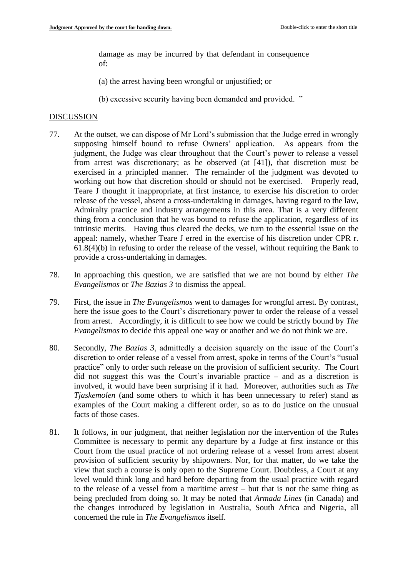damage as may be incurred by that defendant in consequence of:

(a) the arrest having been wrongful or unjustified; or

(b) excessive security having been demanded and provided. "

### DISCUSSION

- 77. At the outset, we can dispose of Mr Lord's submission that the Judge erred in wrongly supposing himself bound to refuse Owners' application. As appears from the judgment, the Judge was clear throughout that the Court's power to release a vessel from arrest was discretionary; as he observed (at [41]), that discretion must be exercised in a principled manner. The remainder of the judgment was devoted to working out how that discretion should or should not be exercised. Properly read, Teare J thought it inappropriate, at first instance, to exercise his discretion to order release of the vessel, absent a cross-undertaking in damages, having regard to the law, Admiralty practice and industry arrangements in this area. That is a very different thing from a conclusion that he was bound to refuse the application, regardless of its intrinsic merits. Having thus cleared the decks, we turn to the essential issue on the appeal: namely, whether Teare J erred in the exercise of his discretion under CPR r. 61.8(4)(b) in refusing to order the release of the vessel, without requiring the Bank to provide a cross-undertaking in damages.
- 78. In approaching this question, we are satisfied that we are not bound by either *The Evangelismos* or *The Bazias 3* to dismiss the appeal.
- 79. First, the issue in *The Evangelismos* went to damages for wrongful arrest. By contrast, here the issue goes to the Court's discretionary power to order the release of a vessel from arrest. Accordingly, it is difficult to see how we could be strictly bound by *The Evangelismos* to decide this appeal one way or another and we do not think we are.
- 80. Secondly, *The Bazias 3*, admittedly a decision squarely on the issue of the Court's discretion to order release of a vessel from arrest, spoke in terms of the Court's "usual practice" only to order such release on the provision of sufficient security. The Court did not suggest this was the Court's invariable practice – and as a discretion is involved, it would have been surprising if it had. Moreover, authorities such as *The Tjaskemolen* (and some others to which it has been unnecessary to refer) stand as examples of the Court making a different order, so as to do justice on the unusual facts of those cases.
- 81. It follows, in our judgment, that neither legislation nor the intervention of the Rules Committee is necessary to permit any departure by a Judge at first instance or this Court from the usual practice of not ordering release of a vessel from arrest absent provision of sufficient security by shipowners. Nor, for that matter, do we take the view that such a course is only open to the Supreme Court. Doubtless, a Court at any level would think long and hard before departing from the usual practice with regard to the release of a vessel from a maritime arrest – but that is not the same thing as being precluded from doing so. It may be noted that *Armada Lines* (in Canada) and the changes introduced by legislation in Australia, South Africa and Nigeria, all concerned the rule in *The Evangelismos* itself.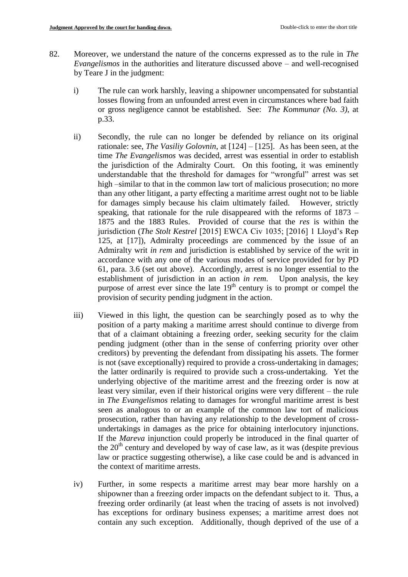- 82. Moreover, we understand the nature of the concerns expressed as to the rule in *The Evangelismos* in the authorities and literature discussed above – and well-recognised by Teare J in the judgment:
	- i) The rule can work harshly, leaving a shipowner uncompensated for substantial losses flowing from an unfounded arrest even in circumstances where bad faith or gross negligence cannot be established. See: *The Kommunar (No. 3)*, at p.33.
	- ii) Secondly, the rule can no longer be defended by reliance on its original rationale: see, *The Vasiliy Golovnin*, at [124] – [125]. As has been seen, at the time *The Evangelismos* was decided, arrest was essential in order to establish the jurisdiction of the Admiralty Court. On this footing, it was eminently understandable that the threshold for damages for "wrongful" arrest was set high –similar to that in the common law tort of malicious prosecution; no more than any other litigant, a party effecting a maritime arrest ought not to be liable for damages simply because his claim ultimately failed. However, strictly speaking, that rationale for the rule disappeared with the reforms of 1873 – 1875 and the 1883 Rules. Provided of course that the *res* is within the jurisdiction (*The Stolt Kestrel* [2015] EWCA Civ 1035; [2016] 1 Lloyd's Rep 125, at [17]), Admiralty proceedings are commenced by the issue of an Admiralty writ *in rem* and jurisdiction is established by service of the writ in accordance with any one of the various modes of service provided for by PD 61, para. 3.6 (set out above). Accordingly, arrest is no longer essential to the establishment of jurisdiction in an action *in rem*. Upon analysis, the key purpose of arrest ever since the late  $19<sup>th</sup>$  century is to prompt or compel the provision of security pending judgment in the action.
	- iii) Viewed in this light, the question can be searchingly posed as to why the position of a party making a maritime arrest should continue to diverge from that of a claimant obtaining a freezing order, seeking security for the claim pending judgment (other than in the sense of conferring priority over other creditors) by preventing the defendant from dissipating his assets. The former is not (save exceptionally) required to provide a cross-undertaking in damages; the latter ordinarily is required to provide such a cross-undertaking. Yet the underlying objective of the maritime arrest and the freezing order is now at least very similar, even if their historical origins were very different – the rule in *The Evangelismos* relating to damages for wrongful maritime arrest is best seen as analogous to or an example of the common law tort of malicious prosecution, rather than having any relationship to the development of crossundertakings in damages as the price for obtaining interlocutory injunctions. If the *Mareva* injunction could properly be introduced in the final quarter of the  $20<sup>th</sup>$  century and developed by way of case law, as it was (despite previous law or practice suggesting otherwise), a like case could be and is advanced in the context of maritime arrests.
	- iv) Further, in some respects a maritime arrest may bear more harshly on a shipowner than a freezing order impacts on the defendant subject to it. Thus, a freezing order ordinarily (at least when the tracing of assets is not involved) has exceptions for ordinary business expenses; a maritime arrest does not contain any such exception. Additionally, though deprived of the use of a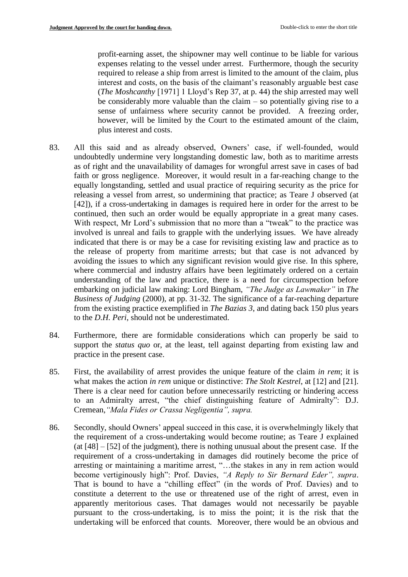profit-earning asset, the shipowner may well continue to be liable for various expenses relating to the vessel under arrest. Furthermore, though the security required to release a ship from arrest is limited to the amount of the claim, plus interest and costs, on the basis of the claimant's reasonably arguable best case (*The Moshcanthy* [1971] 1 Lloyd's Rep 37, at p. 44) the ship arrested may well be considerably more valuable than the claim – so potentially giving rise to a sense of unfairness where security cannot be provided. A freezing order, however, will be limited by the Court to the estimated amount of the claim, plus interest and costs.

- 83. All this said and as already observed, Owners' case, if well-founded, would undoubtedly undermine very longstanding domestic law, both as to maritime arrests as of right and the unavailability of damages for wrongful arrest save in cases of bad faith or gross negligence. Moreover, it would result in a far-reaching change to the equally longstanding, settled and usual practice of requiring security as the price for releasing a vessel from arrest, so undermining that practice; as Teare J observed (at [42]), if a cross-undertaking in damages is required here in order for the arrest to be continued, then such an order would be equally appropriate in a great many cases. With respect, Mr Lord's submission that no more than a "tweak" to the practice was involved is unreal and fails to grapple with the underlying issues. We have already indicated that there is or may be a case for revisiting existing law and practice as to the release of property from maritime arrests; but that case is not advanced by avoiding the issues to which any significant revision would give rise. In this sphere, where commercial and industry affairs have been legitimately ordered on a certain understanding of the law and practice, there is a need for circumspection before embarking on judicial law making: Lord Bingham, *"The Judge as Lawmaker"* in *The Business of Judging* (2000), at pp. 31-32. The significance of a far-reaching departure from the existing practice exemplified in *The Bazias 3*, and dating back 150 plus years to the *D.H. Peri*, should not be underestimated.
- 84. Furthermore, there are formidable considerations which can properly be said to support the *status quo* or, at the least, tell against departing from existing law and practice in the present case.
- 85. First, the availability of arrest provides the unique feature of the claim *in rem*; it is what makes the action *in rem* unique or distinctive: *The Stolt Kestrel*, at [12] and [21]. There is a clear need for caution before unnecessarily restricting or hindering access to an Admiralty arrest, "the chief distinguishing feature of Admiralty": D.J. Cremean,*"Mala Fides or Crassa Negligentia", supra.*
- 86. Secondly, should Owners' appeal succeed in this case, it is overwhelmingly likely that the requirement of a cross-undertaking would become routine; as Teare J explained (at [48] – [52] of the judgment), there is nothing unusual about the present case. If the requirement of a cross-undertaking in damages did routinely become the price of arresting or maintaining a maritime arrest, "…the stakes in any in rem action would become vertiginously high": Prof. Davies, *"A Reply to Sir Bernard Eder", supra*. That is bound to have a "chilling effect" (in the words of Prof. Davies) and to constitute a deterrent to the use or threatened use of the right of arrest, even in apparently meritorious cases. That damages would not necessarily be payable pursuant to the cross-undertaking, is to miss the point; it is the risk that the undertaking will be enforced that counts. Moreover, there would be an obvious and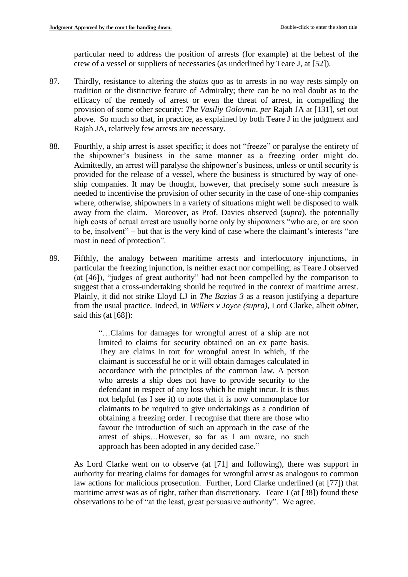particular need to address the position of arrests (for example) at the behest of the crew of a vessel or suppliers of necessaries (as underlined by Teare J, at [52]).

- 87. Thirdly, resistance to altering the *status quo* as to arrests in no way rests simply on tradition or the distinctive feature of Admiralty; there can be no real doubt as to the efficacy of the remedy of arrest or even the threat of arrest, in compelling the provision of some other security: *The Vasiliy Golovnin*, *per* Rajah JA at [131], set out above. So much so that, in practice, as explained by both Teare J in the judgment and Rajah JA, relatively few arrests are necessary.
- 88. Fourthly, a ship arrest is asset specific; it does not "freeze" or paralyse the entirety of the shipowner's business in the same manner as a freezing order might do. Admittedly, an arrest will paralyse the shipowner's business, unless or until security is provided for the release of a vessel, where the business is structured by way of oneship companies. It may be thought, however, that precisely some such measure is needed to incentivise the provision of other security in the case of one-ship companies where, otherwise, shipowners in a variety of situations might well be disposed to walk away from the claim. Moreover, as Prof. Davies observed (*supra*), the potentially high costs of actual arrest are usually borne only by shipowners "who are, or are soon to be, insolvent" – but that is the very kind of case where the claimant's interests "are most in need of protection".
- 89. Fifthly, the analogy between maritime arrests and interlocutory injunctions, in particular the freezing injunction, is neither exact nor compelling; as Teare J observed (at [46]), "judges of great authority" had not been compelled by the comparison to suggest that a cross-undertaking should be required in the context of maritime arrest. Plainly, it did not strike Lloyd LJ in *The Bazias 3* as a reason justifying a departure from the usual practice*.* Indeed, in *Willers v Joyce (supra)*, Lord Clarke, albeit *obiter*, said this (at [68]):

"…Claims for damages for wrongful arrest of a ship are not limited to claims for security obtained on an ex parte basis. They are claims in tort for wrongful arrest in which, if the claimant is successful he or it will obtain damages calculated in accordance with the principles of the common law. A person who arrests a ship does not have to provide security to the defendant in respect of any loss which he might incur. It is thus not helpful (as I see it) to note that it is now commonplace for claimants to be required to give undertakings as a condition of obtaining a freezing order. I recognise that there are those who favour the introduction of such an approach in the case of the arrest of ships…However, so far as I am aware, no such approach has been adopted in any decided case."

As Lord Clarke went on to observe (at [71] and following), there was support in authority for treating claims for damages for wrongful arrest as analogous to common law actions for malicious prosecution. Further, Lord Clarke underlined (at [77]) that maritime arrest was as of right, rather than discretionary. Teare J (at [38]) found these observations to be of "at the least, great persuasive authority". We agree.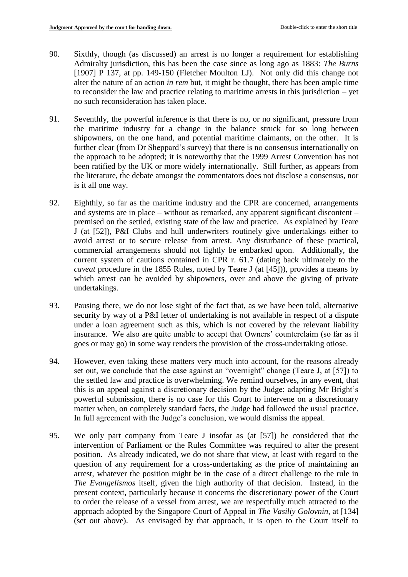- 90. Sixthly, though (as discussed) an arrest is no longer a requirement for establishing Admiralty jurisdiction, this has been the case since as long ago as 1883: *The Burns* [1907] P 137, at pp. 149-150 (Fletcher Moulton LJ). Not only did this change not alter the nature of an action *in rem* but, it might be thought, there has been ample time to reconsider the law and practice relating to maritime arrests in this jurisdiction – yet no such reconsideration has taken place.
- 91. Seventhly, the powerful inference is that there is no, or no significant, pressure from the maritime industry for a change in the balance struck for so long between shipowners, on the one hand, and potential maritime claimants, on the other. It is further clear (from Dr Sheppard's survey) that there is no consensus internationally on the approach to be adopted; it is noteworthy that the 1999 Arrest Convention has not been ratified by the UK or more widely internationally. Still further, as appears from the literature, the debate amongst the commentators does not disclose a consensus, nor is it all one way.
- 92. Eighthly, so far as the maritime industry and the CPR are concerned, arrangements and systems are in place – without as remarked, any apparent significant discontent – premised on the settled, existing state of the law and practice. As explained by Teare J (at [52]), P&I Clubs and hull underwriters routinely give undertakings either to avoid arrest or to secure release from arrest. Any disturbance of these practical, commercial arrangements should not lightly be embarked upon. Additionally, the current system of cautions contained in CPR r. 61.7 (dating back ultimately to the *caveat* procedure in the 1855 Rules, noted by Teare J (at [45])), provides a means by which arrest can be avoided by shipowners, over and above the giving of private undertakings.
- 93. Pausing there, we do not lose sight of the fact that, as we have been told, alternative security by way of a P&I letter of undertaking is not available in respect of a dispute under a loan agreement such as this, which is not covered by the relevant liability insurance. We also are quite unable to accept that Owners' counterclaim (so far as it goes or may go) in some way renders the provision of the cross-undertaking otiose.
- 94. However, even taking these matters very much into account, for the reasons already set out, we conclude that the case against an "overnight" change (Teare J, at [57]) to the settled law and practice is overwhelming. We remind ourselves, in any event, that this is an appeal against a discretionary decision by the Judge; adapting Mr Bright's powerful submission, there is no case for this Court to intervene on a discretionary matter when, on completely standard facts, the Judge had followed the usual practice. In full agreement with the Judge's conclusion, we would dismiss the appeal.
- 95. We only part company from Teare J insofar as (at [57]) he considered that the intervention of Parliament or the Rules Committee was required to alter the present position. As already indicated, we do not share that view, at least with regard to the question of any requirement for a cross-undertaking as the price of maintaining an arrest, whatever the position might be in the case of a direct challenge to the rule in *The Evangelismos* itself, given the high authority of that decision. Instead, in the present context, particularly because it concerns the discretionary power of the Court to order the release of a vessel from arrest, we are respectfully much attracted to the approach adopted by the Singapore Court of Appeal in *The Vasiliy Golovnin*, at [134] (set out above). As envisaged by that approach, it is open to the Court itself to